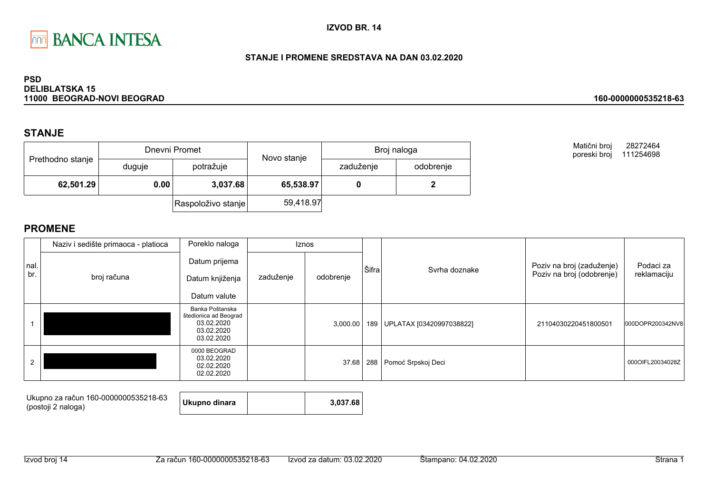

#### STANJE I PROMENE SREDSTAVA NA DAN 03.02.2020

#### **PSD DELIBLATSKA 15** 11000 BEOGRAD-NOVI BEOGRAD

## **STANJE**

| Prethodno stanje |        | Dnevni Promet      | Novo stanje | Broj naloga |           |  |
|------------------|--------|--------------------|-------------|-------------|-----------|--|
|                  | duguje | potražuje          |             | zaduženje   | odobrenje |  |
| 62,501.29        | 0.00   | 3,037.68           | 65,538.97   |             |           |  |
|                  |        | Raspoloživo stanje | 59,418.97   |             |           |  |

Matični broj 28272464 poreski broj 111254698

160-0000000535218-63

|                | Naziv i sedište primaoca - platioca | Poreklo naloga                                                                     |           | <b>Iznos</b> |       |                          |                           |                  |
|----------------|-------------------------------------|------------------------------------------------------------------------------------|-----------|--------------|-------|--------------------------|---------------------------|------------------|
| Inal.          |                                     | Datum prijema                                                                      |           |              | Šifra | Syrha doznake            | Poziv na broj (zaduženje) | Podaci za        |
| br.            | broj računa                         | Datum knjiženja                                                                    | zaduženje | odobrenje    |       |                          | Poziv na broj (odobrenje) | reklamaciju      |
|                |                                     | Datum valute                                                                       |           |              |       |                          |                           |                  |
|                |                                     | Banka Poštanska<br>štedionica ad Beograd<br>03.02.2020<br>03.02.2020<br>03.02.2020 |           | 3,000.00     | 189   | UPLATAX [03420997038822] | 21104030220451800501      | 000DOPR200342NV8 |
| $\overline{2}$ |                                     | 0000 BEOGRAD<br>03.02.2020<br>02.02.2020<br>02.02.2020                             |           | 37.68        | 288   | Pomoć Srpskoj Deci       |                           | 000OIFL20034028Z |

| Ukupno za račun 160-0000000535218-63<br>(postoji 2 naloga) | Ukupno dinara |  | 3.037.68 |  |
|------------------------------------------------------------|---------------|--|----------|--|
|------------------------------------------------------------|---------------|--|----------|--|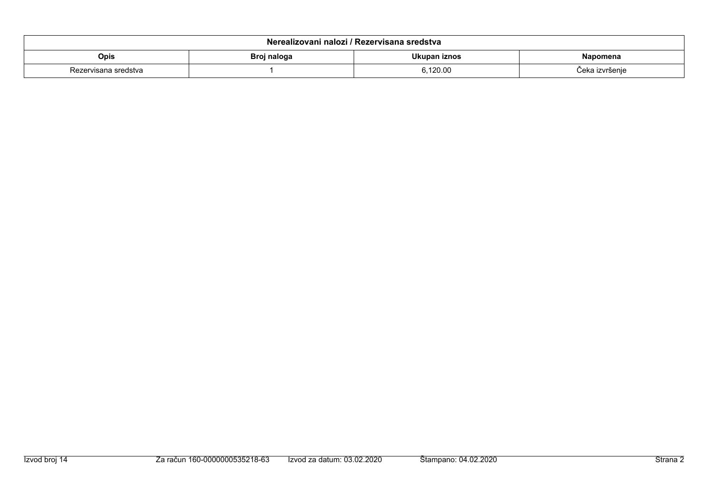| Nerealizovani nalozi / Rezervisana sredstva     |  |         |                |  |  |  |
|-------------------------------------------------|--|---------|----------------|--|--|--|
| Ukupan iznos<br>Opis<br>Broj naloga<br>Napomena |  |         |                |  |  |  |
| Rezervisana sredstva                            |  | .120.00 | Ceka izvršeni∈ |  |  |  |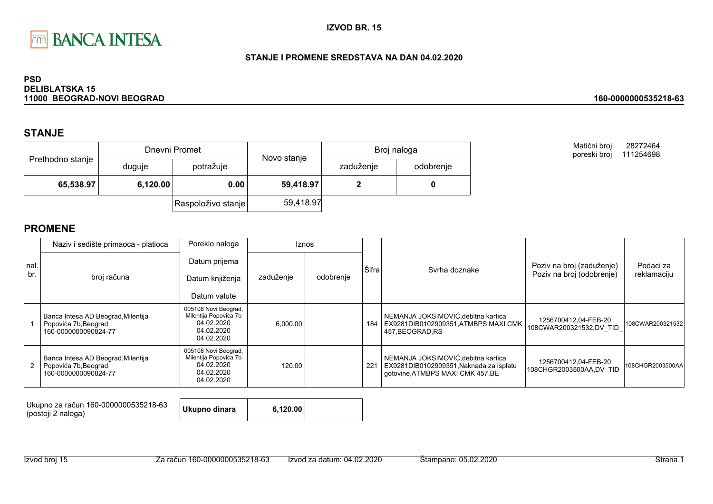

### STANJE I PROMENE SREDSTAVA NA DAN 04.02.2020

#### **PSD DELIBLATSKA 15** 11000 BEOGRAD-NOVI BEOGRAD

## **STANJE**

|                  |          | Dnevni Promet      | Novo stanje | Broj naloga |           |  |
|------------------|----------|--------------------|-------------|-------------|-----------|--|
| Prethodno stanje | duguje   | potražuje          |             | zaduženje   | odobrenje |  |
| 65,538.97        | 6,120.00 | 0.00               | 59,418.97   |             |           |  |
|                  |          | Raspoloživo stanje | 59,418.97   |             |           |  |

**PROMENE** 

|               | Naziv i sedište primaoca - platioca                                                  | Poreklo naloga                                                                          |           | <b>Iznos</b> |       |                                                                                                                     |                                                        |                          |
|---------------|--------------------------------------------------------------------------------------|-----------------------------------------------------------------------------------------|-----------|--------------|-------|---------------------------------------------------------------------------------------------------------------------|--------------------------------------------------------|--------------------------|
| I nal.<br>br. | broj računa                                                                          | Datum prijema<br>Datum knjiženja<br>Datum valute                                        | zaduženje | odobrenje    | Šifra | Syrha doznake                                                                                                       | Poziv na broj (zaduženje)<br>Poziv na broj (odobrenje) | Podaci za<br>reklamaciju |
|               | Banca Intesa AD Beograd, Milentija<br>Popovića 7b, Beograd<br>160-0000000090824-77   | 005108 Novi Beograd,<br>Milentija Popovića 7b<br>04.02.2020<br>04.02.2020<br>04.02.2020 | 6,000.00  |              | 184   | NEMANJA JOKSIMOVIĆ, debitna kartica<br>EX9281DIB0102909351.ATMBPS MAXI CMK<br>457.BEOGRAD.RS                        | 1256700412,04-FEB-20<br>108CWAR200321532,DV TID        | 108CWAR200321532         |
|               | Banca Intesa AD Beograd, Milentija<br>2 Popovića 7b, Beograd<br>160-0000000090824-77 | 005108 Novi Beograd,<br>Milentija Popovića 7b<br>04.02.2020<br>04.02.2020<br>04.02.2020 | 120.00    |              | 221   | NEMANJA JOKSIMOVIĆ, debitna kartica<br>EX9281DIB0102909351, Naknada za isplatu<br>gotovine, ATMBPS MAXI CMK 457, BE | 1256700412,04-FEB-20<br>108CHGR2003500AA,DV_TID        | 108CHGR2003500AA         |

| Ukupno za račun 160-0000000535218-63<br>(postoji 2 naloga) | Ukupno dinara | 6.120.00 |  |
|------------------------------------------------------------|---------------|----------|--|
|                                                            |               |          |  |

#### 160-0000000535218-63

28272464

Matični broj

poreski broj 111254698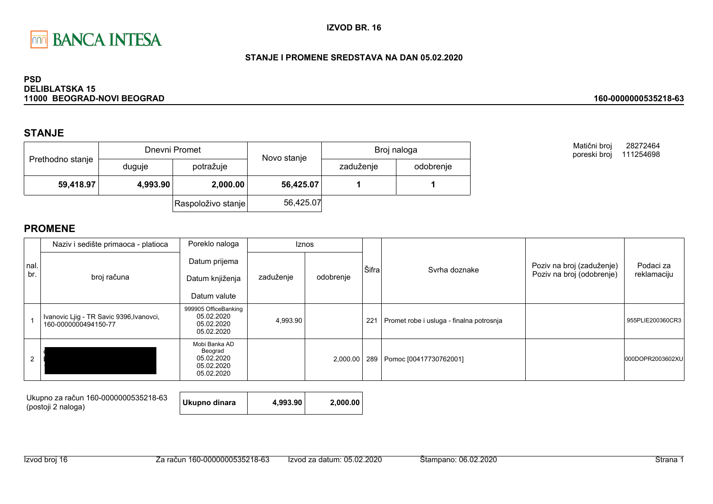

### STANJE I PROMENE SREDSTAVA NA DAN 05.02.2020

#### **PSD DELIBLATSKA 15** 11000 BEOGRAD-NOVI BEOGRAD

## **STANJE**

| Prethodno stanje |          | Dnevni Promet      | Novo stanje | Broj naloga |           |  |
|------------------|----------|--------------------|-------------|-------------|-----------|--|
|                  | duguje   | potražuje          |             | zaduženje   | odobrenje |  |
| 59,418.97        | 4,993.90 | 2,000.00           | 56,425.07   |             |           |  |
|                  |          | Raspoloživo stanje | 56,425.07   |             |           |  |

Matični broj 28272464 poreski broj 111254698

160-0000000535218-63

|      | Naziv i sedište primaoca - platioca                              | Poreklo naloga                                                     |           | <b>Iznos</b> |       |                                          |                           |                  |
|------|------------------------------------------------------------------|--------------------------------------------------------------------|-----------|--------------|-------|------------------------------------------|---------------------------|------------------|
| nal. |                                                                  | Datum prijema                                                      |           |              | Šifra | Syrha doznake                            | Poziv na broj (zaduženje) | Podaci za        |
| br.  | broj računa                                                      | Datum knjiženja                                                    | zaduženje | odobrenje    |       |                                          | Poziv na broj (odobrenje) | reklamaciju      |
|      |                                                                  | Datum valute                                                       |           |              |       |                                          |                           |                  |
|      | Ivanovic Liig - TR Savic 9396, Ivanovci,<br>160-0000000494150-77 | 999905 OfficeBanking<br>05.02.2020<br>05.02.2020<br>05.02.2020     | 4,993.90  |              | 221   | Promet robe i usluga - finalna potrosnja |                           | 955PLIE200360CR3 |
|      |                                                                  | Mobi Banka AD<br>Beograd<br>05.02.2020<br>05.02.2020<br>05.02.2020 |           | 2,000.00     |       | 289 Pomoc [00417730762001]               |                           | 000DOPR2003602XU |

| Ukupno za račun 160-0000000535218-63<br>(postoji 2 naloga) | Ukupno dinara | 4.993.90 | 2.000.00 |
|------------------------------------------------------------|---------------|----------|----------|
|                                                            |               |          |          |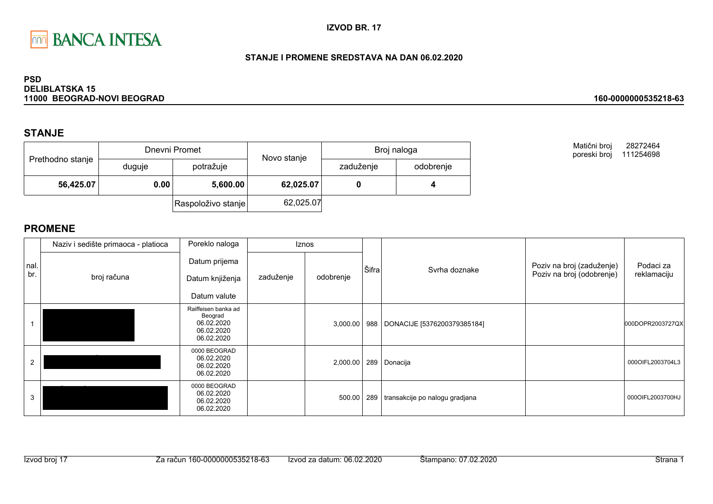

### STANJE I PROMENE SREDSTAVA NA DAN 06.02.2020

#### **PSD DELIBLATSKA 15** 11000 BEOGRAD-NOVI BEOGRAD

## **STANJE**

| Prethodno stanje |                  | Dnevni Promet      | Novo stanje | Broj naloga |           |  |
|------------------|------------------|--------------------|-------------|-------------|-----------|--|
|                  | duguje           | potražuje          |             | zaduženje   | odobrenje |  |
| 56,425.07        | 0.00<br>5,600.00 |                    | 62,025.07   |             |           |  |
|                  |                  | Raspoloživo stanje | 62,025.07   |             |           |  |

Matični broj 28272464 poreski broj 111254698

160-0000000535218-63

|             | Naziv i sedište primaoca - platioca | Poreklo naloga                                                           |           | <b>Iznos</b> |       |                                |                                                        |                          |
|-------------|-------------------------------------|--------------------------------------------------------------------------|-----------|--------------|-------|--------------------------------|--------------------------------------------------------|--------------------------|
| nal.<br>br. | broj računa                         | Datum prijema<br>Datum knjiženja<br>Datum valute                         | zaduženje | odobrenje    | Šifra | Syrha doznake                  | Poziv na broj (zaduženje)<br>Poziv na broj (odobrenje) | Podaci za<br>reklamaciju |
|             |                                     | Raiffeisen banka ad<br>Beograd<br>06.02.2020<br>06.02.2020<br>06.02.2020 |           | 3,000.00     | 988   | DONACIJE [5376200379385184]    |                                                        | 000DOPR2003727QX         |
| 2           |                                     | 0000 BEOGRAD<br>06.02.2020<br>06.02.2020<br>06.02.2020                   |           | 2,000.00     |       | 289 Donacija                   |                                                        | 000OIFL2003704L3         |
| 3           |                                     | 0000 BEOGRAD<br>06.02.2020<br>06.02.2020<br>06.02.2020                   |           | 500.00       | 289   | transakcije po nalogu gradjana |                                                        | 000OIFL2003700HJ         |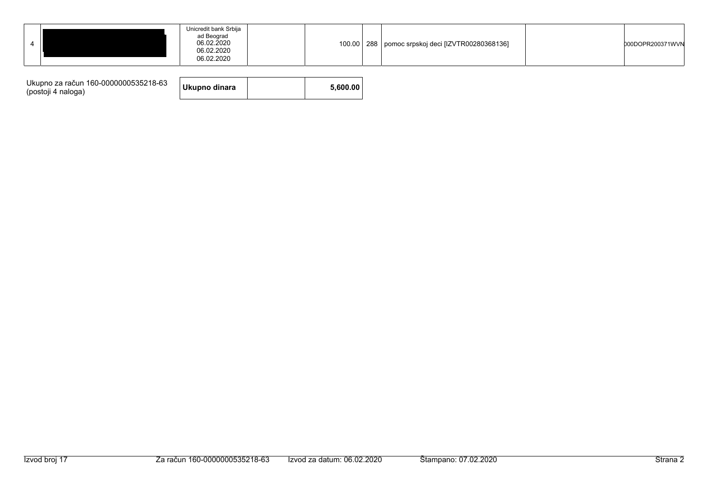| Ukupno za račun 160-0000000535218-63<br>(postoji 4 naloga) | Ukupno dinara |  | 5.600.00 |
|------------------------------------------------------------|---------------|--|----------|
|------------------------------------------------------------|---------------|--|----------|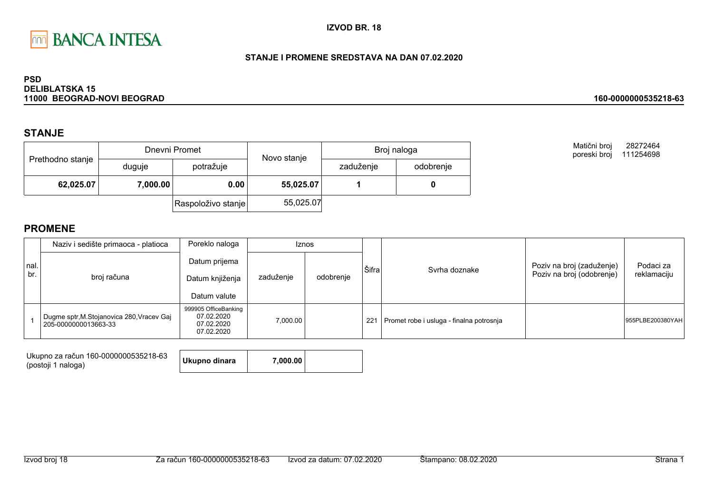

### STANJE I PROMENE SREDSTAVA NA DAN 07.02.2020

#### **PSD DELIBLATSKA 15** 11000 BEOGRAD-NOVI BEOGRAD

## **STANJE**

| Prethodno stanje |          | Dnevni Promet      | Novo stanje | Broj naloga |           |  |
|------------------|----------|--------------------|-------------|-------------|-----------|--|
|                  | duguje   | potražuje          |             | zaduženje   | odobrenje |  |
| 62,025.07        | 7,000.00 | 0.00               | 55,025.07   |             |           |  |
|                  |          | Raspoloživo stanje | 55,025.07   |             |           |  |

Matični broj 28272464 poreski broj 111254698

160-0000000535218-63

|             | Naziv i sedište primaoca - platioca                                | Poreklo naloga                                                 |           | <b>Iznos</b> |       |                                          |                                                        |                          |
|-------------|--------------------------------------------------------------------|----------------------------------------------------------------|-----------|--------------|-------|------------------------------------------|--------------------------------------------------------|--------------------------|
| nal.<br>br. | broj računa                                                        | Datum prijema<br>Datum knjiženja<br>Datum valute               | zaduženje | odobrenje    | Šifra | Svrha doznake                            | Poziv na broj (zaduženje)<br>Poziv na broj (odobrenje) | Podaci za<br>reklamaciju |
|             | Dugme sptr, M. Stojanovica 280, Vracev Gaj<br>205-0000000013663-33 | 999905 OfficeBanking<br>07.02.2020<br>07.02.2020<br>07.02.2020 | 7.000.00  |              | 221   | Promet robe i usluga - finalna potrosnja |                                                        | 955PLBE200380YAH         |

| Ukupno za račun 160-0000000535218-63 | Ukupno dinara | 7,000.00 |  |
|--------------------------------------|---------------|----------|--|
| (postoji 1 naloga)                   |               |          |  |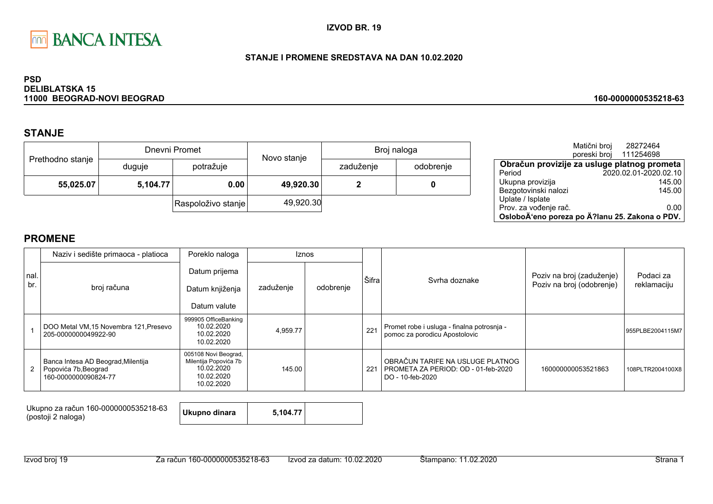

### STANJE I PROMENE SREDSTAVA NA DAN 10.02.2020

#### **PSD DELIBLATSKA 15** 11000 BEOGRAD-NOVI BEOGRAD

## **STANJE**

|                  |          | Dnevni Promet      | Novo stanje | Broj naloga |           |  |
|------------------|----------|--------------------|-------------|-------------|-----------|--|
| Prethodno stanje | duguje   | potražuje          |             | zaduženje   | odobrenje |  |
| 55,025.07        | 5,104.77 | 0.00               | 49,920.30   |             |           |  |
|                  |          | Raspoloživo stanje | 49,920.30   |             |           |  |

|                                                | Matični broj | 28272464              |        |
|------------------------------------------------|--------------|-----------------------|--------|
|                                                | poreski broj | 111254698             |        |
| Obračun provizije za usluge platnog prometa    |              |                       |        |
| Period                                         |              | 2020.02.01-2020.02.10 |        |
| Ukupna provizija                               |              |                       | 145.00 |
| Bezgotovinski nalozi                           |              |                       | 145.00 |
| Uplate / Isplate                               |              |                       |        |
| Prov. za vođenje rač.                          |              |                       | 0.00   |
| OsloboÄ'eno poreza po Ä?lanu 25. Zakona o PDV. |              |                       |        |

## **PROMENE**

|                | Naziv i sedište primaoca - platioca                                                | Poreklo naloga                                                                          |           | <b>Iznos</b> |       |                                                                                             |                           |                  |
|----------------|------------------------------------------------------------------------------------|-----------------------------------------------------------------------------------------|-----------|--------------|-------|---------------------------------------------------------------------------------------------|---------------------------|------------------|
| nal            |                                                                                    | Datum prijema                                                                           |           |              | Šifra |                                                                                             | Poziv na broj (zaduženje) | Podaci za        |
| br.            | broj računa                                                                        | Datum knjiženja                                                                         | zaduženje | odobrenje    |       | Svrha doznake                                                                               | Poziv na broj (odobrenje) | reklamaciju      |
|                |                                                                                    | Datum valute                                                                            |           |              |       |                                                                                             |                           |                  |
|                | DOO Metal VM, 15 Novembra 121, Presevo<br>205-0000000049922-90                     | 999905 OfficeBanking<br>10.02.2020<br>10.02.2020<br>10.02.2020                          | 4,959.77  |              | 221   | Promet robe i usluga - finalna potrosnja -<br>pomoc za porodicu Apostolovic                 |                           | 955PLBE2004115M7 |
| $\overline{2}$ | Banca Intesa AD Beograd, Milentija<br>Popovića 7b, Beograd<br>160-0000000090824-77 | 005108 Novi Beograd,<br>Milentija Popovića 7b<br>10.02.2020<br>10.02.2020<br>10.02.2020 | 145.00    |              | 221   | OBRAČUN TARIFE NA USLUGE PLATNOG<br>PROMETA ZA PERIOD: OD - 01-feb-2020<br>DO - 10-feb-2020 | 160000000053521863        | 108PLTR2004100X8 |

Ukupno za račun 160-0000000535218-63 (postoji 2 naloga)

Ukupno dinara 5,104.77

Izvod broj 19

160-0000000535218-63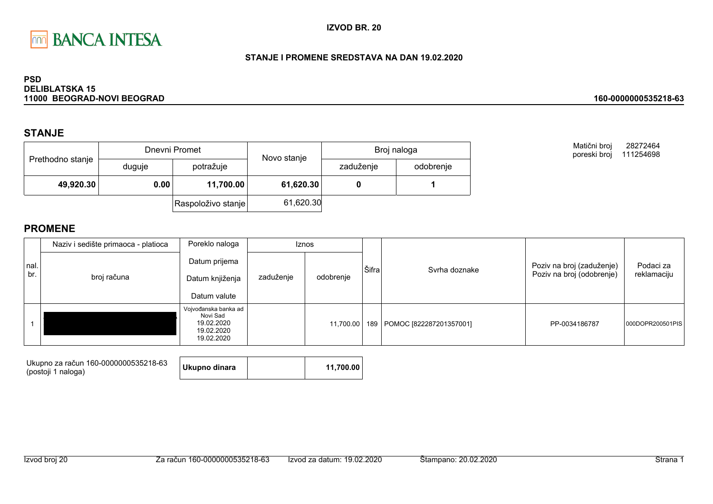

### STANJE I PROMENE SREDSTAVA NA DAN 19.02.2020

#### **PSD DELIBLATSKA 15** 11000 BEOGRAD-NOVI BEOGRAD

## **STANJE**

| Prethodno stanje |        | Dnevni Promet      | Novo stanje | Broj naloga |           |  |
|------------------|--------|--------------------|-------------|-------------|-----------|--|
|                  | duguje | potražuje          |             | zaduženje   | odobrenje |  |
| 49,920.30        | 0.00   | 11,700.00          | 61,620.30   |             |           |  |
|                  |        | Raspoloživo stanje | 61,620.30   |             |           |  |

Matični broj 28272464 poreski broj 111254698

160-0000000535218-63

|             | Naziv i sedište primaoca - platioca | Poreklo naloga                                                             |           | <b>Iznos</b> | Šifra |                         |                                                        |                          |
|-------------|-------------------------------------|----------------------------------------------------------------------------|-----------|--------------|-------|-------------------------|--------------------------------------------------------|--------------------------|
| nal.<br>br. | broj računa                         | Datum prijema<br>Datum knjiženja<br>Datum valute                           | zaduženje | odobrenje    |       | Svrha doznake           | Poziv na broj (zaduženje)<br>Poziv na broj (odobrenje) | Podaci za<br>reklamaciju |
|             |                                     | Vojvođanska banka ad<br>Novi Sad<br>19.02.2020<br>19.02.2020<br>19.02.2020 |           | 11,700.00    | 189   | POMOC [822287201357001] | PP-0034186787                                          | 000DOPR200501PIS         |

| Ukupno za račun 160-0000000535218-63<br>(postoji 1 naloga) | Ukupno dinara |  | 11.700.00 |
|------------------------------------------------------------|---------------|--|-----------|
|------------------------------------------------------------|---------------|--|-----------|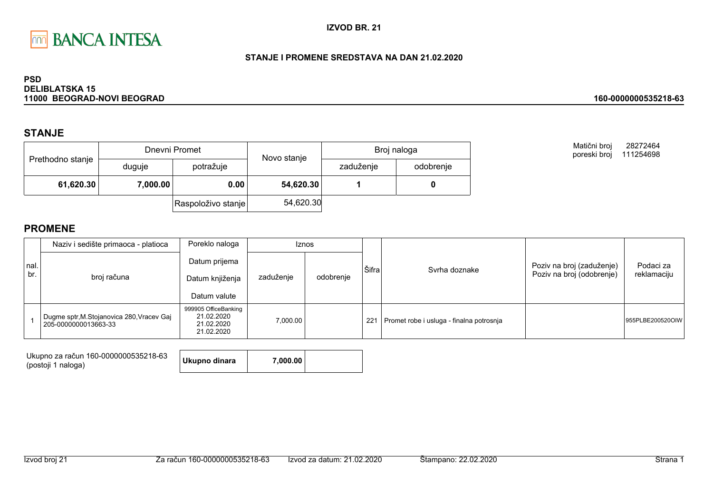

#### STANJE I PROMENE SREDSTAVA NA DAN 21.02.2020

#### **PSD DELIBLATSKA 15** 11000 BEOGRAD-NOVI BEOGRAD

## **STANJE**

| Prethodno stanje |          | Dnevni Promet      | Novo stanje | Broj naloga |           |  |
|------------------|----------|--------------------|-------------|-------------|-----------|--|
|                  | duguje   | potražuje          |             | zaduženje   | odobrenje |  |
| 61,620.30        | 7,000.00 | 0.00               | 54,620.30   |             |           |  |
|                  |          | Raspoloživo stanje | 54,620.30   |             |           |  |

Matični broj 28272464 poreski broj 111254698

160-0000000535218-63

|              | Naziv i sedište primaoca - platioca                                | Poreklo naloga                                                 | <b>Iznos</b> |           |       |                                          |                                                        |                          |
|--------------|--------------------------------------------------------------------|----------------------------------------------------------------|--------------|-----------|-------|------------------------------------------|--------------------------------------------------------|--------------------------|
| Inal.<br>br. | broj računa                                                        | Datum prijema<br>Datum knjiženja<br>Datum valute               | zaduženje    | odobrenje | Šifra | Svrha doznake                            | Poziv na broj (zaduženje)<br>Poziv na broj (odobrenje) | Podaci za<br>reklamaciju |
|              | Dugme sptr, M. Stojanovica 280, Vracev Gaj<br>205-0000000013663-33 | 999905 OfficeBanking<br>21.02.2020<br>21.02.2020<br>21.02.2020 | 7.000.00     |           | 221   | Promet robe i usluga - finalna potrosnja |                                                        | 955PLBE200520OIW         |

| Ukupno za račun 160-0000000535218-63<br>(postoji 1 naloga) | Ukupno dinara | 7.000.00 |  |
|------------------------------------------------------------|---------------|----------|--|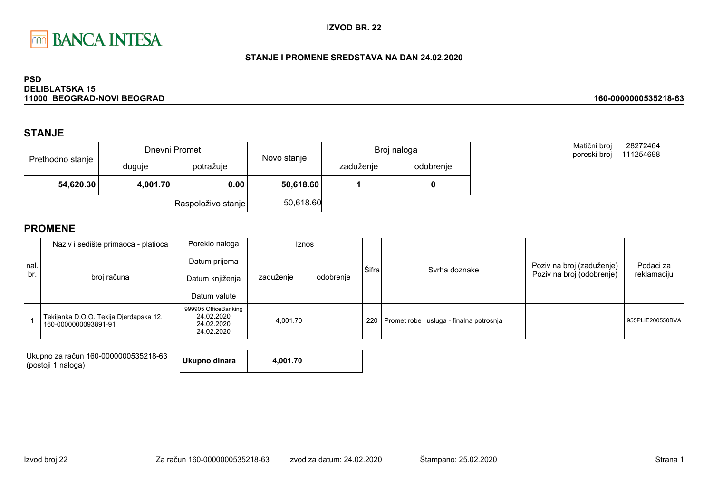

#### STANJE I PROMENE SREDSTAVA NA DAN 24.02.2020

#### **PSD DELIBLATSKA 15** 11000 BEOGRAD-NOVI BEOGRAD

## **STANJE**

|                  |          | Dnevni Promet      | Novo stanje | Broj naloga |           |  |
|------------------|----------|--------------------|-------------|-------------|-----------|--|
| Prethodno stanje | duguje   | potražuje          |             | zaduženje   | odobrenje |  |
| 54,620.30        | 4,001.70 | 0.00               | 50,618.60   |             |           |  |
|                  |          | Raspoloživo stanje | 50,618.60   |             |           |  |

Matični broj 28272464 poreski broj 111254698

160-0000000535218-63

|              | Naziv i sedište primaoca - platioca                             | Poreklo naloga                                                 | <b>Iznos</b> |           |       |                                                |                                                        |                          |
|--------------|-----------------------------------------------------------------|----------------------------------------------------------------|--------------|-----------|-------|------------------------------------------------|--------------------------------------------------------|--------------------------|
| Inal.<br>br. | broj računa                                                     | Datum prijema<br>Datum knjiženja<br>Datum valute               | zaduženje    | odobrenje | Šifra | Svrha doznake                                  | Poziv na broj (zaduženje)<br>Poziv na broj (odobrenje) | Podaci za<br>reklamaciju |
|              | Tekijanka D.O.O. Tekija, Djerdapska 12,<br>160-0000000093891-91 | 999905 OfficeBanking<br>24.02.2020<br>24.02.2020<br>24.02.2020 | 4.001.70     |           |       | 220   Promet robe i usluga - finalna potrosnja |                                                        | 955PLIE200550BVA         |

| Ukupno dinara<br>4,001.70<br>(postoji 1 naloga) | Ukupno za račun 160-0000000535218-63 |  |  |
|-------------------------------------------------|--------------------------------------|--|--|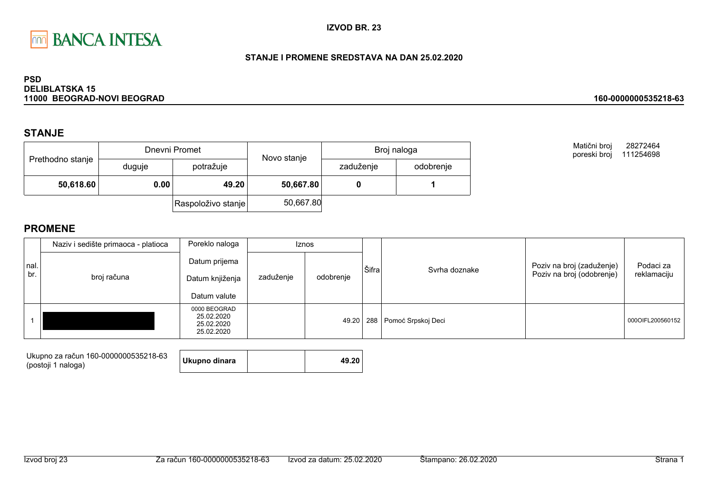

#### STANJE I PROMENE SREDSTAVA NA DAN 25.02.2020

#### **PSD DELIBLATSKA 15** 11000 BEOGRAD-NOVI BEOGRAD

## **STANJE**

|                  |        | Dnevni Promet      | Novo stanje | Broj naloga |           |  |
|------------------|--------|--------------------|-------------|-------------|-----------|--|
| Prethodno stanje | duguje | potražuje          |             | zaduženje   | odobrenje |  |
| 50,618.60        | 0.00   | 49.20              | 50,667.80   |             |           |  |
|                  |        | Raspoloživo stanje | 50,667.80   |             |           |  |

Matični broj 28272464 poreski broj 111254698

160-0000000535218-63

|             | Naziv i sedište primaoca - platioca | Poreklo naloga                                         |           | Iznos     |       |                        |                                                        |                          |
|-------------|-------------------------------------|--------------------------------------------------------|-----------|-----------|-------|------------------------|--------------------------------------------------------|--------------------------|
| nal.<br>br. | broj računa                         | Datum prijema<br>Datum knjiženja<br>Datum valute       | zaduženje | odobrenje | Šifra | Syrha doznake          | Poziv na broj (zaduženje)<br>Poziv na broj (odobrenje) | Podaci za<br>reklamaciju |
|             |                                     | 0000 BEOGRAD<br>25.02.2020<br>25.02.2020<br>25.02.2020 |           | 49.20     |       | 288 Pomoć Srpskoj Deci |                                                        | 000OIFL200560152         |

| Ukupno za račun 160-0000000535218-63 | Ukupno dinara | 49.20 |
|--------------------------------------|---------------|-------|
| (postoji 1 naloga)                   |               |       |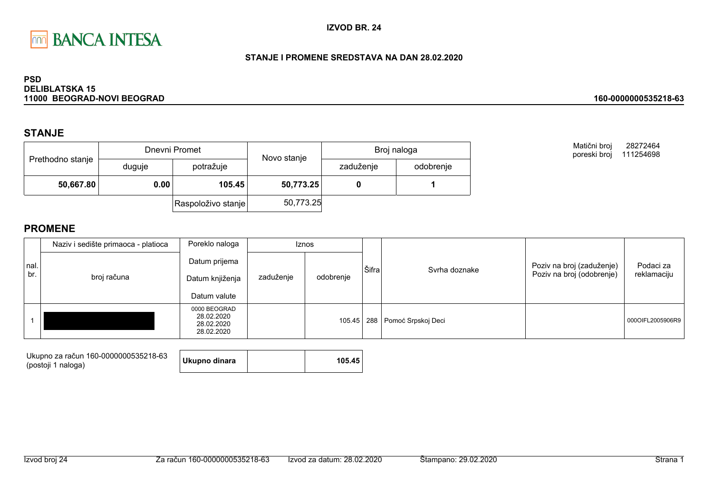

#### STANJE I PROMENE SREDSTAVA NA DAN 28.02.2020

#### **PSD DELIBLATSKA 15** 11000 BEOGRAD-NOVI BEOGRAD

## **STANJE**

|                  |        | Dnevni Promet      | Novo stanje | Broj naloga |           |  |
|------------------|--------|--------------------|-------------|-------------|-----------|--|
| Prethodno stanje | duguje | potražuje          |             | zaduženje   | odobrenje |  |
| 50,667.80        | 0.00   | 105.45             | 50,773.25   |             |           |  |
|                  |        | Raspoloživo stanje | 50,773.25   |             |           |  |

Matični broj 28272464 poreski broj 111254698

160-0000000535218-63

|             | Naziv i sedište primaoca - platioca | Poreklo naloga                                         | <b>Iznos</b> |           |       |                                   |                                                        |                          |
|-------------|-------------------------------------|--------------------------------------------------------|--------------|-----------|-------|-----------------------------------|--------------------------------------------------------|--------------------------|
| nal.<br>br. | broj računa                         | Datum prijema<br>Datum knjiženja<br>Datum valute       | zaduženje    | odobrenje | Šifra | Syrha doznake                     | Poziv na broj (zaduženje)<br>Poziv na broj (odobrenje) | Podaci za<br>reklamaciju |
|             |                                     | 0000 BEOGRAD<br>28.02.2020<br>28.02.2020<br>28.02.2020 |              |           |       | 105.45   288   Pomoć Srpskoj Deci |                                                        | 000OIFL2005906R9         |

| Ukupno za račun 160-0000000535218-63 | Ukupno dinara | 105.45 |
|--------------------------------------|---------------|--------|
| (postoji 1 naloga)                   |               |        |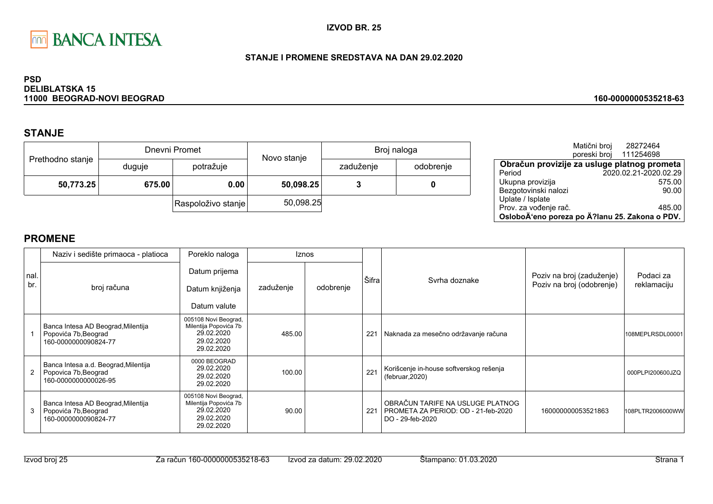

### STANJE I PROMENE SREDSTAVA NA DAN 29.02.2020

#### **PSD DELIBLATSKA 15** 11000 BEOGRAD-NOVI BEOGRAD

# **STANJE**

|                  |        | Dnevni Promet      | Novo stanje | Broj naloga |           |  |
|------------------|--------|--------------------|-------------|-------------|-----------|--|
| Prethodno stanje | duguje | potražuje          |             | zaduženje   | odobrenje |  |
| 50,773.25        | 675.00 | 0.00               | 50,098.25   |             | 0         |  |
|                  |        | Raspoloživo stanje | 50,098.25   |             |           |  |

|                                                | Matični broj<br>poreski broj | 28272464<br>111254698 |        |
|------------------------------------------------|------------------------------|-----------------------|--------|
| Obračun provizije za usluge platnog prometa    |                              |                       |        |
| Period                                         |                              | 2020.02.21-2020.02.29 |        |
| Ukupna provizija                               |                              |                       | 575.00 |
| Bezgotovinski nalozi                           |                              |                       | 90.00  |
| Uplate / Isplate                               |                              |                       |        |
| Prov. za vođenje rač.                          |                              |                       | 485.00 |
| OsloboÄ'eno poreza po Ä?lanu 25. Zakona o PDV. |                              |                       |        |

160-0000000535218-63

|             | Naziv i sedište primaoca - platioca                                                  | Poreklo naloga                                                                          | <b>Iznos</b> |           |       |                                                                                             |                                                        |                          |
|-------------|--------------------------------------------------------------------------------------|-----------------------------------------------------------------------------------------|--------------|-----------|-------|---------------------------------------------------------------------------------------------|--------------------------------------------------------|--------------------------|
| nal.<br>br. | broj računa                                                                          | Datum prijema<br>Datum knjiženja<br>Datum valute                                        | zaduženje    | odobrenje | Šifra | Syrha doznake                                                                               | Poziv na broj (zaduženje)<br>Poziv na broj (odobrenje) | Podaci za<br>reklamaciju |
|             | Banca Intesa AD Beograd, Milentija<br>Popovića 7b, Beograd<br>160-0000000090824-77   | 005108 Novi Beograd,<br>Milentija Popovića 7b<br>29.02.2020<br>29.02.2020<br>29.02.2020 | 485.00       |           | 221   | Naknada za mesečno održavanje računa                                                        |                                                        | 108MEPLRSDL00001         |
|             | Banca Intesa a.d. Beograd, Milentija<br>Popovica 7b, Beograd<br>160-0000000000026-95 | 0000 BEOGRAD<br>29.02.2020<br>29.02.2020<br>29.02.2020                                  | 100.00       |           | 221   | Korišcenje in-house softverskog rešenja<br>(februar, 2020)                                  |                                                        | 000PLPI200600JZQ         |
| 3           | Banca Intesa AD Beograd, Milentija<br>Popovića 7b, Beograd<br>160-0000000090824-77   | 005108 Novi Beograd,<br>Milentija Popovića 7b<br>29.02.2020<br>29.02.2020<br>29.02.2020 | 90.00        |           | 221   | OBRAČUN TARIFE NA USLUGE PLATNOG<br>PROMETA ZA PERIOD: OD - 21-feb-2020<br>DO - 29-feb-2020 | 160000000053521863                                     | 108PLTR2006000WW         |